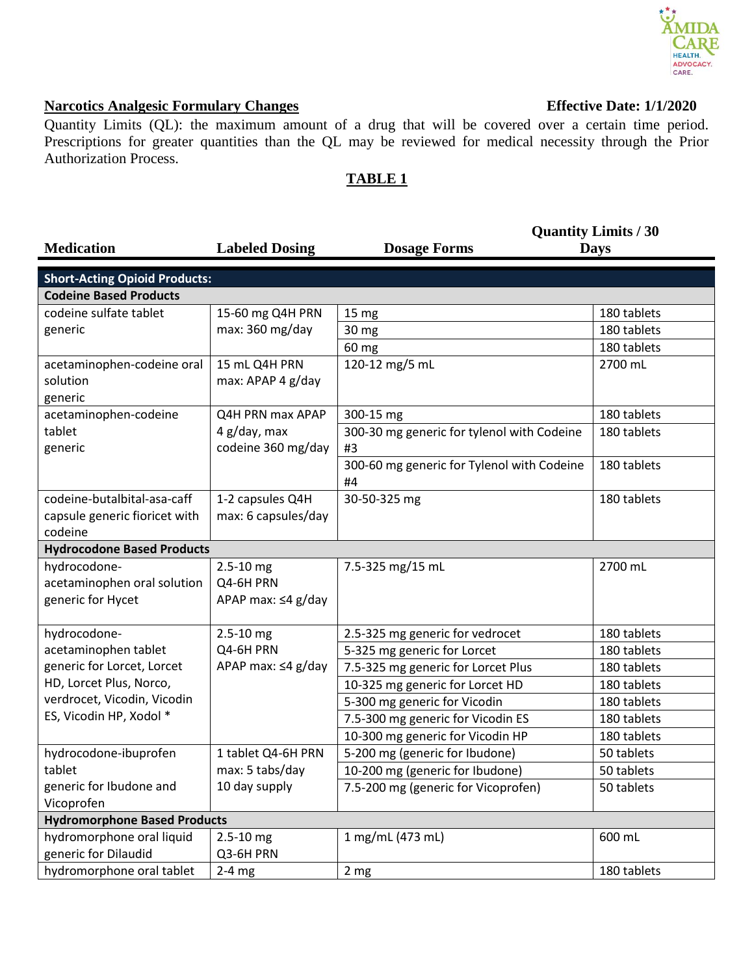## **AIDA** HEALTH. ADVOCACY.<br>CARE.

## **Narcotics Analgesic Formulary Changes Effective Date: 1/1/2020**

Quantity Limits (QL): the maximum amount of a drug that will be covered over a certain time period. Prescriptions for greater quantities than the QL may be reviewed for medical necessity through the Prior Authorization Process.

## **TABLE 1**

|                                      |                          | <b>Quantity Limits / 30</b>                |             |  |
|--------------------------------------|--------------------------|--------------------------------------------|-------------|--|
| <b>Medication</b>                    | <b>Labeled Dosing</b>    | <b>Dosage Forms</b>                        | <b>Days</b> |  |
|                                      |                          |                                            |             |  |
| <b>Short-Acting Opioid Products:</b> |                          |                                            |             |  |
| <b>Codeine Based Products</b>        |                          |                                            |             |  |
| codeine sulfate tablet               | 15-60 mg Q4H PRN         | 15 <sub>mg</sub>                           | 180 tablets |  |
| generic                              | max: 360 mg/day          | 30 mg                                      | 180 tablets |  |
|                                      |                          | 60 mg                                      | 180 tablets |  |
| acetaminophen-codeine oral           | 15 mL Q4H PRN            | 120-12 mg/5 mL                             | 2700 mL     |  |
| solution                             | max: APAP 4 g/day        |                                            |             |  |
| generic                              |                          |                                            |             |  |
| acetaminophen-codeine                | Q4H PRN max APAP         | 300-15 mg                                  | 180 tablets |  |
| tablet                               | 4 g/day, max             | 300-30 mg generic for tylenol with Codeine | 180 tablets |  |
| generic                              | codeine 360 mg/day       | #3                                         |             |  |
|                                      |                          | 300-60 mg generic for Tylenol with Codeine | 180 tablets |  |
|                                      |                          | #4                                         |             |  |
| codeine-butalbital-asa-caff          | 1-2 capsules Q4H         | 30-50-325 mg                               | 180 tablets |  |
| capsule generic fioricet with        | max: 6 capsules/day      |                                            |             |  |
| codeine                              |                          |                                            |             |  |
| <b>Hydrocodone Based Products</b>    |                          |                                            |             |  |
| hydrocodone-                         | $2.5 - 10$ mg            | 7.5-325 mg/15 mL                           | 2700 mL     |  |
| acetaminophen oral solution          | Q4-6H PRN                |                                            |             |  |
| generic for Hycet                    | APAP max: $\leq 4$ g/day |                                            |             |  |
|                                      |                          |                                            |             |  |
| hydrocodone-                         | $2.5 - 10$ mg            | 2.5-325 mg generic for vedrocet            | 180 tablets |  |
| acetaminophen tablet                 | Q4-6H PRN                | 5-325 mg generic for Lorcet                | 180 tablets |  |
| generic for Lorcet, Lorcet           | APAP max: ≤4 g/day       | 7.5-325 mg generic for Lorcet Plus         | 180 tablets |  |
| HD, Lorcet Plus, Norco,              |                          | 10-325 mg generic for Lorcet HD            | 180 tablets |  |
| verdrocet, Vicodin, Vicodin          |                          | 5-300 mg generic for Vicodin               | 180 tablets |  |
| ES, Vicodin HP, Xodol *              |                          | 7.5-300 mg generic for Vicodin ES          | 180 tablets |  |
|                                      |                          | 10-300 mg generic for Vicodin HP           | 180 tablets |  |
| hydrocodone-ibuprofen                | 1 tablet Q4-6H PRN       | 5-200 mg (generic for Ibudone)             | 50 tablets  |  |
| tablet                               | max: 5 tabs/day          | 10-200 mg (generic for Ibudone)            | 50 tablets  |  |
| generic for Ibudone and              | 10 day supply            | 7.5-200 mg (generic for Vicoprofen)        | 50 tablets  |  |
| Vicoprofen                           |                          |                                            |             |  |
| <b>Hydromorphone Based Products</b>  |                          |                                            |             |  |
| hydromorphone oral liquid            | $2.5 - 10$ mg            | 1 mg/mL (473 mL)                           | 600 mL      |  |
| generic for Dilaudid                 | Q3-6H PRN                |                                            |             |  |
| hydromorphone oral tablet            | $2-4$ mg                 | 2 mg                                       | 180 tablets |  |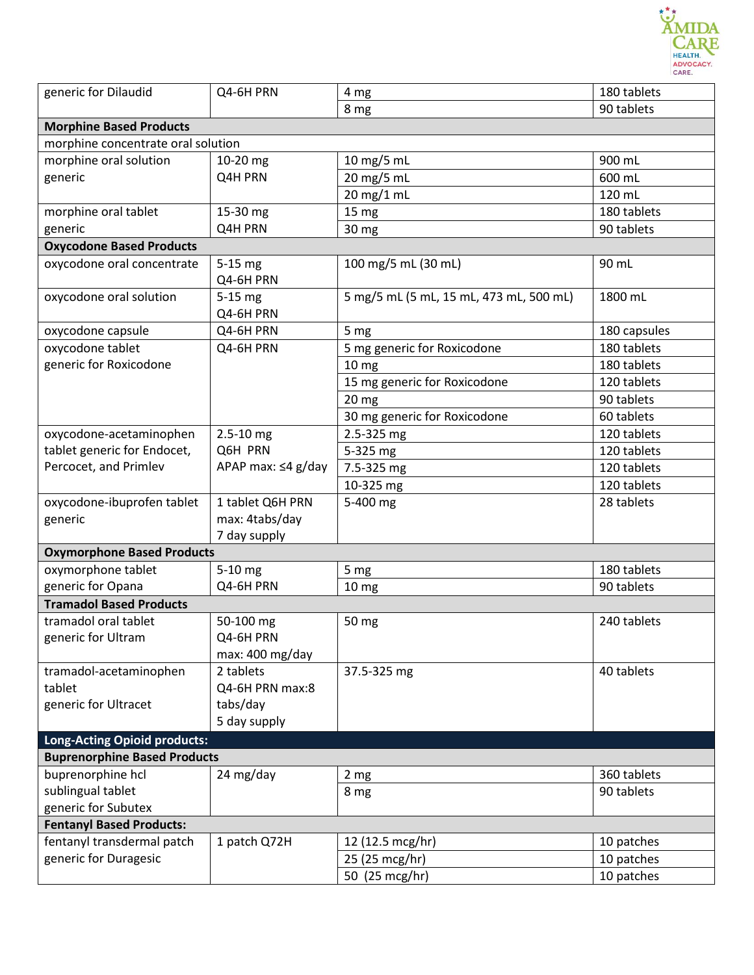

| generic for Dilaudid                | Q4-6H PRN                | 4 mg                                    | 180 tablets  |  |  |
|-------------------------------------|--------------------------|-----------------------------------------|--------------|--|--|
|                                     |                          | 8 mg                                    | 90 tablets   |  |  |
| <b>Morphine Based Products</b>      |                          |                                         |              |  |  |
| morphine concentrate oral solution  |                          |                                         |              |  |  |
| morphine oral solution              | 10-20 mg                 | 10 mg/5 mL                              | 900 mL       |  |  |
| generic                             | Q4H PRN                  | 20 mg/5 mL                              | 600 mL       |  |  |
|                                     |                          | 20 mg/1 mL                              | 120 mL       |  |  |
| morphine oral tablet                | 15-30 mg                 | 15 mg                                   | 180 tablets  |  |  |
| generic                             | Q4H PRN                  | 30 mg                                   | 90 tablets   |  |  |
| <b>Oxycodone Based Products</b>     |                          |                                         |              |  |  |
| oxycodone oral concentrate          | 5-15 mg<br>Q4-6H PRN     | 100 mg/5 mL (30 mL)                     | 90 mL        |  |  |
| oxycodone oral solution             | $5-15$ mg<br>Q4-6H PRN   | 5 mg/5 mL (5 mL, 15 mL, 473 mL, 500 mL) | 1800 mL      |  |  |
| oxycodone capsule                   | Q4-6H PRN                | 5 mg                                    | 180 capsules |  |  |
| oxycodone tablet                    | Q4-6H PRN                | 5 mg generic for Roxicodone             | 180 tablets  |  |  |
| generic for Roxicodone              |                          | 10 <sub>mg</sub>                        | 180 tablets  |  |  |
|                                     |                          | 15 mg generic for Roxicodone            | 120 tablets  |  |  |
|                                     |                          | 20 <sub>mg</sub>                        | 90 tablets   |  |  |
|                                     |                          | 30 mg generic for Roxicodone            | 60 tablets   |  |  |
| oxycodone-acetaminophen             | $2.5 - 10$ mg            | 2.5-325 mg                              | 120 tablets  |  |  |
| tablet generic for Endocet,         | Q6H PRN                  | 5-325 mg                                | 120 tablets  |  |  |
| Percocet, and Primlev               | APAP max: $\leq$ 4 g/day | 7.5-325 mg                              | 120 tablets  |  |  |
|                                     |                          | 10-325 mg                               | 120 tablets  |  |  |
| oxycodone-ibuprofen tablet          | 1 tablet Q6H PRN         | 5-400 mg                                | 28 tablets   |  |  |
| generic                             | max: 4tabs/day           |                                         |              |  |  |
|                                     | 7 day supply             |                                         |              |  |  |
| <b>Oxymorphone Based Products</b>   |                          |                                         |              |  |  |
| oxymorphone tablet                  | 5-10 mg                  | 5 mg                                    | 180 tablets  |  |  |
| generic for Opana                   | Q4-6H PRN                | 10 <sub>mg</sub>                        | 90 tablets   |  |  |
| <b>Tramadol Based Products</b>      |                          |                                         |              |  |  |
| tramadol oral tablet                | 50-100 mg                | 50 mg                                   | 240 tablets  |  |  |
| generic for Ultram                  | Q4-6H PRN                |                                         |              |  |  |
|                                     | max: 400 mg/day          |                                         |              |  |  |
| tramadol-acetaminophen              | 2 tablets                | 37.5-325 mg                             | 40 tablets   |  |  |
| tablet                              | Q4-6H PRN max:8          |                                         |              |  |  |
| generic for Ultracet                | tabs/day                 |                                         |              |  |  |
|                                     | 5 day supply             |                                         |              |  |  |
| Long-Acting Opioid products:        |                          |                                         |              |  |  |
| <b>Buprenorphine Based Products</b> |                          |                                         |              |  |  |
| buprenorphine hcl                   | 24 mg/day                | 2 <sub>mg</sub>                         | 360 tablets  |  |  |
| sublingual tablet                   |                          | 8 mg                                    | 90 tablets   |  |  |
| generic for Subutex                 |                          |                                         |              |  |  |
| <b>Fentanyl Based Products:</b>     |                          |                                         |              |  |  |
| fentanyl transdermal patch          | 1 patch Q72H             | 12 (12.5 mcg/hr)                        | 10 patches   |  |  |
| generic for Duragesic               |                          | 25 (25 mcg/hr)                          | 10 patches   |  |  |
|                                     |                          | 50 (25 mcg/hr)                          | 10 patches   |  |  |